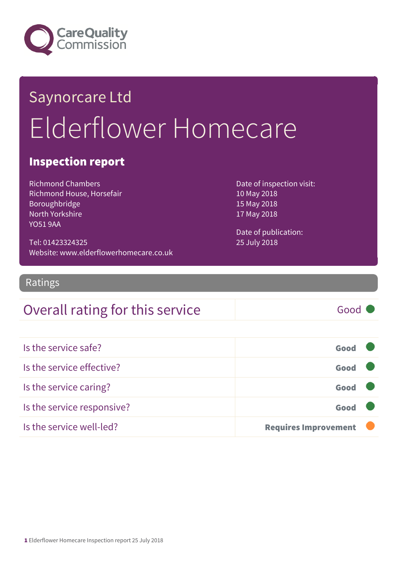

# Saynorcare Ltd Elderflower Homecare

#### Inspection report

Richmond Chambers Richmond House, Horsefair Boroughbridge North Yorkshire YO51 9AA

Date of inspection visit: 10 May 2018 15 May 2018 17 May 2018

Date of publication: 25 July 2018

Ratings

Tel: 01423324325

#### Overall rating for this service and all the Good

Website: www.elderflowerhomecare.co.uk

Is the service safe? Good Is the service effective? Good Is the service caring? Good Is the service responsive? The service responsive? Is the service well-led? **Requires Improvement**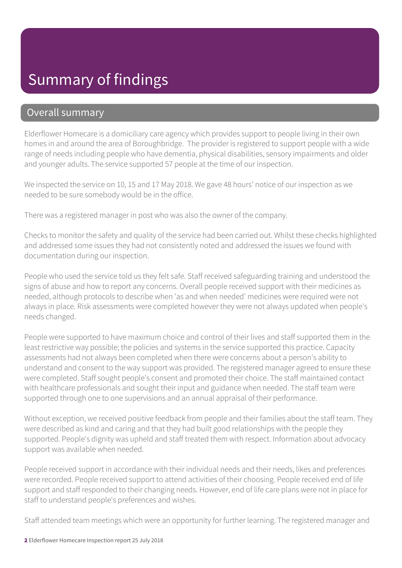#### Summary of findings

#### Overall summary

Elderflower Homecare is a domiciliary care agency which provides support to people living in their own homes in and around the area of Boroughbridge. The provider is registered to support people with a wide range of needs including people who have dementia, physical disabilities, sensory impairments and older and younger adults. The service supported 57 people at the time of our inspection.

We inspected the service on 10, 15 and 17 May 2018. We gave 48 hours' notice of our inspection as we needed to be sure somebody would be in the office.

There was a registered manager in post who was also the owner of the company.

Checks to monitor the safety and quality of the service had been carried out. Whilst these checks highlighted and addressed some issues they had not consistently noted and addressed the issues we found with documentation during our inspection.

People who used the service told us they felt safe. Staff received safeguarding training and understood the signs of abuse and how to report any concerns. Overall people received support with their medicines as needed, although protocols to describe when 'as and when needed' medicines were required were not always in place. Risk assessments were completed however they were not always updated when people's needs changed.

People were supported to have maximum choice and control of their lives and staff supported them in the least restrictive way possible; the policies and systems in the service supported this practice. Capacity assessments had not always been completed when there were concerns about a person's ability to understand and consent to the way support was provided. The registered manager agreed to ensure these were completed. Staff sought people's consent and promoted their choice. The staff maintained contact with healthcare professionals and sought their input and guidance when needed. The staff team were supported through one to one supervisions and an annual appraisal of their performance.

Without exception, we received positive feedback from people and their families about the staff team. They were described as kind and caring and that they had built good relationships with the people they supported. People's dignity was upheld and staff treated them with respect. Information about advocacy support was available when needed.

People received support in accordance with their individual needs and their needs, likes and preferences were recorded. People received support to attend activities of their choosing. People received end of life support and staff responded to their changing needs. However, end of life care plans were not in place for staff to understand people's preferences and wishes.

Staff attended team meetings which were an opportunity for further learning. The registered manager and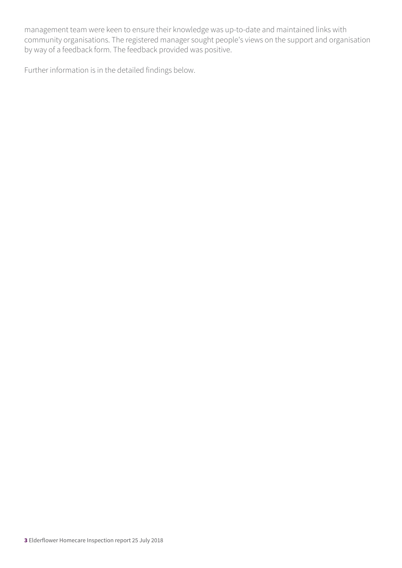management team were keen to ensure their knowledge was up-to-date and maintained links with community organisations. The registered manager sought people's views on the support and organisation by way of a feedback form. The feedback provided was positive.

Further information is in the detailed findings below.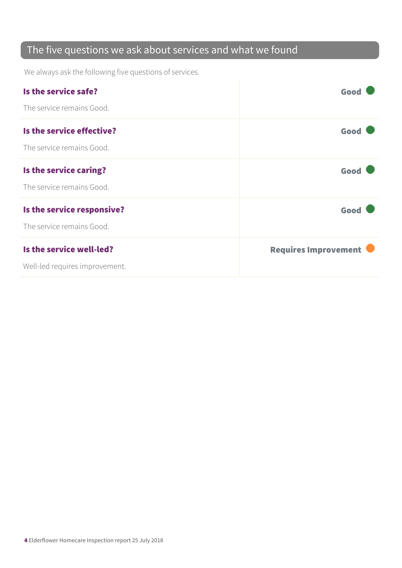#### The five questions we ask about services and what we found

We always ask the following five questions of services.

| Is the service safe?           | Good                        |
|--------------------------------|-----------------------------|
| The service remains Good.      |                             |
| Is the service effective?      | Good                        |
| The service remains Good.      |                             |
| Is the service caring?         | Good                        |
| The service remains Good.      |                             |
| Is the service responsive?     | Good                        |
| The service remains Good.      |                             |
| Is the service well-led?       | <b>Requires Improvement</b> |
| Well-led requires improvement. |                             |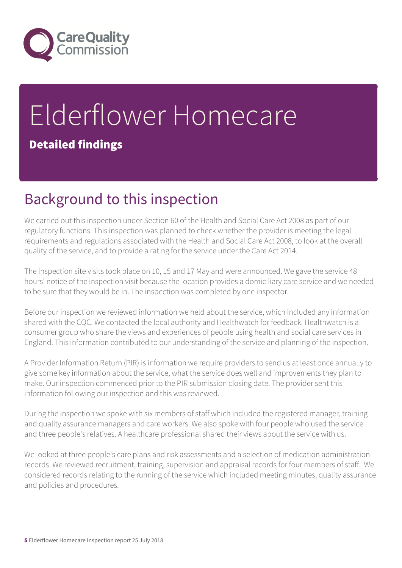

## Elderflower Homecare Detailed findings

#### Background to this inspection

We carried out this inspection under Section 60 of the Health and Social Care Act 2008 as part of our regulatory functions. This inspection was planned to check whether the provider is meeting the legal requirements and regulations associated with the Health and Social Care Act 2008, to look at the overall quality of the service, and to provide a rating for the service under the Care Act 2014.

The inspection site visits took place on 10, 15 and 17 May and were announced. We gave the service 48 hours' notice of the inspection visit because the location provides a domiciliary care service and we needed to be sure that they would be in. The inspection was completed by one inspector.

Before our inspection we reviewed information we held about the service, which included any information shared with the CQC. We contacted the local authority and Healthwatch for feedback. Healthwatch is a consumer group who share the views and experiences of people using health and social care services in England. This information contributed to our understanding of the service and planning of the inspection.

A Provider Information Return (PIR) is information we require providers to send us at least once annually to give some key information about the service, what the service does well and improvements they plan to make. Our inspection commenced prior to the PIR submission closing date. The provider sent this information following our inspection and this was reviewed.

During the inspection we spoke with six members of staff which included the registered manager, training and quality assurance managers and care workers. We also spoke with four people who used the service and three people's relatives. A healthcare professional shared their views about the service with us.

We looked at three people's care plans and risk assessments and a selection of medication administration records. We reviewed recruitment, training, supervision and appraisal records for four members of staff. We considered records relating to the running of the service which included meeting minutes, quality assurance and policies and procedures.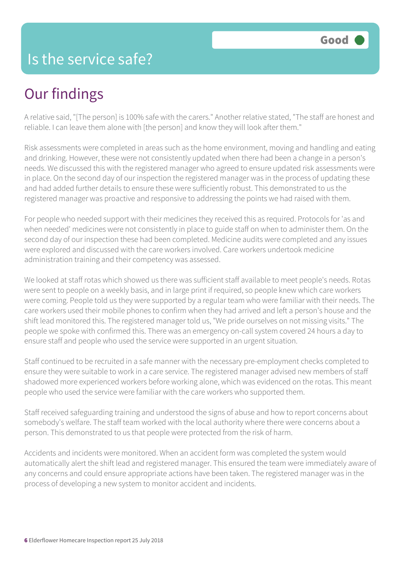#### Is the service safe?

#### Our findings

A relative said, "[The person] is 100% safe with the carers." Another relative stated, "The staff are honest and reliable. I can leave them alone with [the person] and know they will look after them."

Risk assessments were completed in areas such as the home environment, moving and handling and eating and drinking. However, these were not consistently updated when there had been a change in a person's needs. We discussed this with the registered manager who agreed to ensure updated risk assessments were in place. On the second day of our inspection the registered manager was in the process of updating these and had added further details to ensure these were sufficiently robust. This demonstrated to us the registered manager was proactive and responsive to addressing the points we had raised with them.

For people who needed support with their medicines they received this as required. Protocols for 'as and when needed' medicines were not consistently in place to guide staff on when to administer them. On the second day of our inspection these had been completed. Medicine audits were completed and any issues were explored and discussed with the care workers involved. Care workers undertook medicine administration training and their competency was assessed.

We looked at staff rotas which showed us there was sufficient staff available to meet people's needs. Rotas were sent to people on a weekly basis, and in large print if required, so people knew which care workers were coming. People told us they were supported by a regular team who were familiar with their needs. The care workers used their mobile phones to confirm when they had arrived and left a person's house and the shift lead monitored this. The registered manager told us, "We pride ourselves on not missing visits." The people we spoke with confirmed this. There was an emergency on-call system covered 24 hours a day to ensure staff and people who used the service were supported in an urgent situation.

Staff continued to be recruited in a safe manner with the necessary pre-employment checks completed to ensure they were suitable to work in a care service. The registered manager advised new members of staff shadowed more experienced workers before working alone, which was evidenced on the rotas. This meant people who used the service were familiar with the care workers who supported them.

Staff received safeguarding training and understood the signs of abuse and how to report concerns about somebody's welfare. The staff team worked with the local authority where there were concerns about a person. This demonstrated to us that people were protected from the risk of harm.

Accidents and incidents were monitored. When an accident form was completed the system would automatically alert the shift lead and registered manager. This ensured the team were immediately aware of any concerns and could ensure appropriate actions have been taken. The registered manager was in the process of developing a new system to monitor accident and incidents.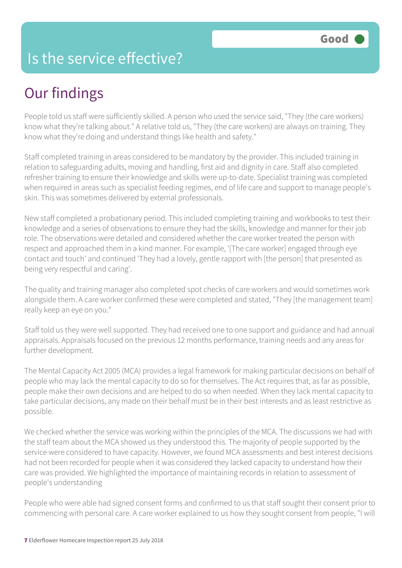#### Is the service effective?

### Our findings

People told us staff were sufficiently skilled. A person who used the service said, "They (the care workers) know what they're talking about." A relative told us, "They (the care workers) are always on training. They know what they're doing and understand things like health and safety."

Staff completed training in areas considered to be mandatory by the provider. This included training in relation to safeguarding adults, moving and handling, first aid and dignity in care. Staff also completed refresher training to ensure their knowledge and skills were up-to-date. Specialist training was completed when required in areas such as specialist feeding regimes, end of life care and support to manage people's skin. This was sometimes delivered by external professionals.

New staff completed a probationary period. This included completing training and workbooks to test their knowledge and a series of observations to ensure they had the skills, knowledge and manner for their job role. The observations were detailed and considered whether the care worker treated the person with respect and approached them in a kind manner. For example, '[The care worker] engaged through eye contact and touch' and continued 'They had a lovely, gentle rapport with [the person] that presented as being very respectful and caring'.

The quality and training manager also completed spot checks of care workers and would sometimes work alongside them. A care worker confirmed these were completed and stated, "They [the management team] really keep an eye on you."

Staff told us they were well supported. They had received one to one support and guidance and had annual appraisals. Appraisals focused on the previous 12 months performance, training needs and any areas for further development.

The Mental Capacity Act 2005 (MCA) provides a legal framework for making particular decisions on behalf of people who may lack the mental capacity to do so for themselves. The Act requires that, as far as possible, people make their own decisions and are helped to do so when needed. When they lack mental capacity to take particular decisions, any made on their behalf must be in their best interests and as least restrictive as possible.

We checked whether the service was working within the principles of the MCA. The discussions we had with the staff team about the MCA showed us they understood this. The majority of people supported by the service were considered to have capacity. However, we found MCA assessments and best interest decisions had not been recorded for people when it was considered they lacked capacity to understand how their care was provided. We highlighted the importance of maintaining records in relation to assessment of people's understanding

People who were able had signed consent forms and confirmed to us that staff sought their consent prior to commencing with personal care. A care worker explained to us how they sought consent from people, "I will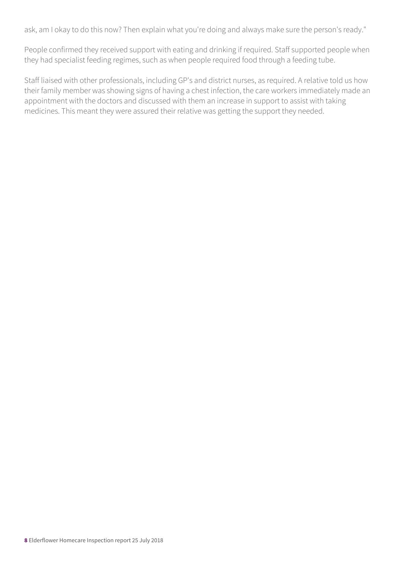ask, am I okay to do this now? Then explain what you're doing and always make sure the person's ready."

People confirmed they received support with eating and drinking if required. Staff supported people when they had specialist feeding regimes, such as when people required food through a feeding tube.

Staff liaised with other professionals, including GP's and district nurses, as required. A relative told us how their family member was showing signs of having a chest infection, the care workers immediately made an appointment with the doctors and discussed with them an increase in support to assist with taking medicines. This meant they were assured their relative was getting the support they needed.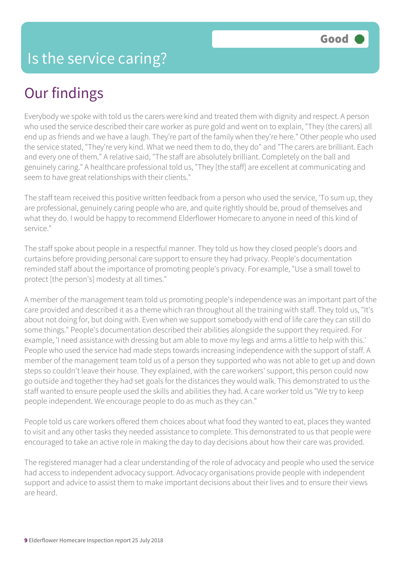### Our findings

Everybody we spoke with told us the carers were kind and treated them with dignity and respect. A person who used the service described their care worker as pure gold and went on to explain, "They (the carers) all end up as friends and we have a laugh. They're part of the family when they're here." Other people who used the service stated, "They're very kind. What we need them to do, they do" and "The carers are brilliant. Each and every one of them." A relative said, "The staff are absolutely brilliant. Completely on the ball and genuinely caring." A healthcare professional told us, "They [the staff] are excellent at communicating and seem to have great relationships with their clients."

The staff team received this positive written feedback from a person who used the service, 'To sum up, they are professional, genuinely caring people who are, and quite rightly should be, proud of themselves and what they do. I would be happy to recommend Elderflower Homecare to anyone in need of this kind of service."

The staff spoke about people in a respectful manner. They told us how they closed people's doors and curtains before providing personal care support to ensure they had privacy. People's documentation reminded staff about the importance of promoting people's privacy. For example, "Use a small towel to protect [the person's] modesty at all times."

A member of the management team told us promoting people's independence was an important part of the care provided and described it as a theme which ran throughout all the training with staff. They told us, "It's about not doing for, but doing with. Even when we support somebody with end of life care they can still do some things." People's documentation described their abilities alongside the support they required. For example, 'I need assistance with dressing but am able to move my legs and arms a little to help with this.' People who used the service had made steps towards increasing independence with the support of staff. A member of the management team told us of a person they supported who was not able to get up and down steps so couldn't leave their house. They explained, with the care workers' support, this person could now go outside and together they had set goals for the distances they would walk. This demonstrated to us the staff wanted to ensure people used the skills and abilities they had. A care worker told us "We try to keep people independent. We encourage people to do as much as they can."

People told us care workers offered them choices about what food they wanted to eat, places they wanted to visit and any other tasks they needed assistance to complete. This demonstrated to us that people were encouraged to take an active role in making the day to day decisions about how their care was provided.

The registered manager had a clear understanding of the role of advocacy and people who used the service had access to independent advocacy support. Advocacy organisations provide people with independent support and advice to assist them to make important decisions about their lives and to ensure their views are heard.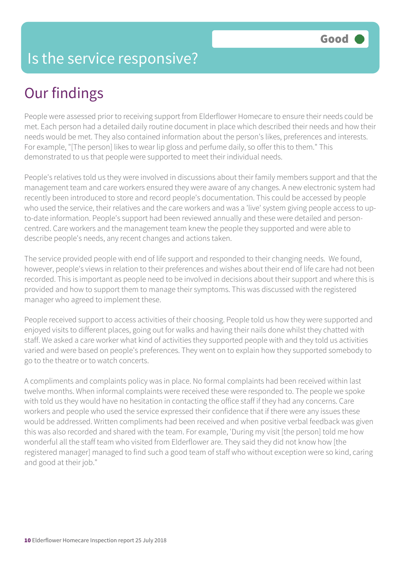#### Is the service responsive?

### Our findings

People were assessed prior to receiving support from Elderflower Homecare to ensure their needs could be met. Each person had a detailed daily routine document in place which described their needs and how their needs would be met. They also contained information about the person's likes, preferences and interests. For example, "[The person] likes to wear lip gloss and perfume daily, so offer this to them." This demonstrated to us that people were supported to meet their individual needs.

People's relatives told us they were involved in discussions about their family members support and that the management team and care workers ensured they were aware of any changes. A new electronic system had recently been introduced to store and record people's documentation. This could be accessed by people who used the service, their relatives and the care workers and was a 'live' system giving people access to upto-date information. People's support had been reviewed annually and these were detailed and personcentred. Care workers and the management team knew the people they supported and were able to describe people's needs, any recent changes and actions taken.

The service provided people with end of life support and responded to their changing needs. We found, however, people's views in relation to their preferences and wishes about their end of life care had not been recorded. This is important as people need to be involved in decisions about their support and where this is provided and how to support them to manage their symptoms. This was discussed with the registered manager who agreed to implement these.

People received support to access activities of their choosing. People told us how they were supported and enjoyed visits to different places, going out for walks and having their nails done whilst they chatted with staff. We asked a care worker what kind of activities they supported people with and they told us activities varied and were based on people's preferences. They went on to explain how they supported somebody to go to the theatre or to watch concerts.

A compliments and complaints policy was in place. No formal complaints had been received within last twelve months. When informal complaints were received these were responded to. The people we spoke with told us they would have no hesitation in contacting the office staff if they had any concerns. Care workers and people who used the service expressed their confidence that if there were any issues these would be addressed. Written compliments had been received and when positive verbal feedback was given this was also recorded and shared with the team. For example, 'During my visit [the person] told me how wonderful all the staff team who visited from Elderflower are. They said they did not know how [the registered manager] managed to find such a good team of staff who without exception were so kind, caring and good at their job."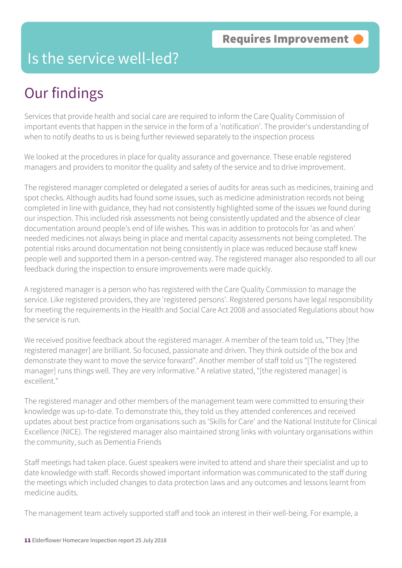#### Is the service well-led?

### Our findings

Services that provide health and social care are required to inform the Care Quality Commission of important events that happen in the service in the form of a 'notification'. The provider's understanding of when to notify deaths to us is being further reviewed separately to the inspection process

We looked at the procedures in place for quality assurance and governance. These enable registered managers and providers to monitor the quality and safety of the service and to drive improvement.

The registered manager completed or delegated a series of audits for areas such as medicines, training and spot checks. Although audits had found some issues, such as medicine administration records not being completed in line with guidance, they had not consistently highlighted some of the issues we found during our inspection. This included risk assessments not being consistently updated and the absence of clear documentation around people's end of life wishes. This was in addition to protocols for 'as and when' needed medicines not always being in place and mental capacity assessments not being completed. The potential risks around documentation not being consistently in place was reduced because staff knew people well and supported them in a person-centred way. The registered manager also responded to all our feedback during the inspection to ensure improvements were made quickly.

A registered manager is a person who has registered with the Care Quality Commission to manage the service. Like registered providers, they are 'registered persons'. Registered persons have legal responsibility for meeting the requirements in the Health and Social Care Act 2008 and associated Regulations about how the service is run.

We received positive feedback about the registered manager. A member of the team told us, "They [the registered manager] are brilliant. So focused, passionate and driven. They think outside of the box and demonstrate they want to move the service forward". Another member of staff told us "[The registered manager] runs things well. They are very informative." A relative stated, "[the registered manager] is excellent."

The registered manager and other members of the management team were committed to ensuring their knowledge was up-to-date. To demonstrate this, they told us they attended conferences and received updates about best practice from organisations such as 'Skills for Care' and the National Institute for Clinical Excellence (NICE). The registered manager also maintained strong links with voluntary organisations within the community, such as Dementia Friends

Staff meetings had taken place. Guest speakers were invited to attend and share their specialist and up to date knowledge with staff. Records showed important information was communicated to the staff during the meetings which included changes to data protection laws and any outcomes and lessons learnt from medicine audits.

The management team actively supported staff and took an interest in their well-being. For example, a